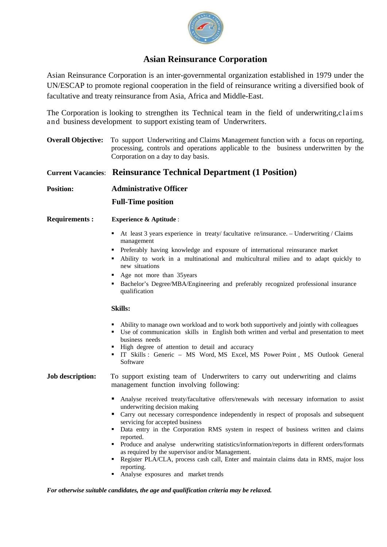

# **Asian Reinsurance Corporation**

Asian Reinsurance Corporation is an inter-governmental organization established in 1979 under the UN/ESCAP to promote regional cooperation in the field of reinsurance writing a diversified book of facultative and treaty reinsurance from Asia, Africa and Middle-East.

The Corporation is looking to strengthen its Technical team in the field of underwriting,claims and business development to support existing team of Underwriters.

**Overall Objective:** To support Underwriting and Claims Management function with a focus on reporting, processing, controls and operations applicable to the business underwritten by the Corporation on a day to day basis.

## **Current Vacancies**: **Reinsurance Technical Department (1 Position)**

**Position: Administrative Officer** 

**Full-Time position** 

- **Requirements : Experience & Aptitude** :
	- At least 3 years experience in treaty/ facultative re/insurance. Underwriting / Claims management
	- Preferably having knowledge and exposure of international reinsurance market
	- Ability to work in a multinational and multicultural milieu and to adapt quickly to new situations
	- Age not more than 35 years
	- Bachelor's Degree/MBA/Engineering and preferably recognized professional insurance qualification

## **Skills:**

- Ability to manage own workload and to work both supportively and jointly with colleagues
- Use of communication skills in English both written and verbal and presentation to meet business needs
- High degree of attention to detail and accuracy
- IT Skills : Generic MS Word, MS Excel, MS Power Point , MS Outlook General Software

## **Job description:** To support existing team of Underwriters to carry out underwriting and claims management function involving following:

- Analyse received treaty/facultative offers/renewals with necessary information to assist underwriting decision making
- Carry out necessary correspondence independently in respect of proposals and subsequent servicing for accepted business
- Data entry in the Corporation RMS system in respect of business written and claims reported.
- Produce and analyse underwriting statistics/information/reports in different orders/formats as required by the supervisor and/or Management.
- Register PLA/CLA, process cash call, Enter and maintain claims data in RMS, major loss reporting.
- Analyse exposures and market trends

## *For otherwise suitable candidates, the age and qualification criteria may be relaxed.*